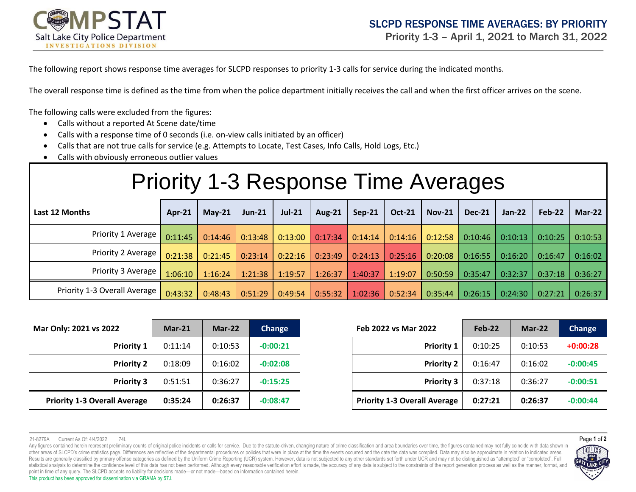

The following report shows response time averages for SLCPD responses to priority 1-3 calls for service during the indicated months.

The overall response time is defined as the time from when the police department initially receives the call and when the first officer arrives on the scene.

The following calls were excluded from the figures:

- Calls without a reported At Scene date/time
- Calls with a response time of 0 seconds (i.e. on-view calls initiated by an officer)
- Calls that are not true calls for service (e.g. Attempts to Locate, Test Cases, Info Calls, Hold Logs, Etc.)
- Calls with obviously erroneous outlier values

## Priority 1-3 Response Time Averages

| Last 12 Months               | Apr-21  | $Mav-21$ | $Jun-21$ | <b>Jul-21</b> | Aug- $21$ | $Sep-21$ | <b>Oct-21</b> | $Nov-21$ | <b>Dec-21</b> | <b>Jan-22</b> | Feb-22  | <b>Mar-22</b> |
|------------------------------|---------|----------|----------|---------------|-----------|----------|---------------|----------|---------------|---------------|---------|---------------|
| Priority 1 Average           | 0:11:45 | 0:14:46  | 0:13:48  | 0:13:00       | 0:17:34   | 0:14:14  | 0:14:16       | 0:12:58  | 0:10:46       | 0:10:13       | 0:10:25 | 0:10:53       |
| Priority 2 Average           | 0:21:38 | 0:21:45  | 0:23:14  | 0:22:16       | 0:23:49   | 0:24:13  | 0:25:16       | 0:20:08  | 0:16:55       | 0:16:20       | 0:16:47 | 0:16:02       |
| Priority 3 Average           | 1:06:10 | 1:16:24  | 1:21:38  | 1:19:57       | 1:26:37   | 1:40:37  | 1:19:07       | 0:50:59  | 0:35:47       | 0:32:37       | 0:37:18 | 0:36:27       |
| Priority 1-3 Overall Average | 0:43:32 | 0:48:43  | 0:51:29  | 0:49:54       | 0:55:32   | 1:02:36  | 0:52:34       | 0:35:44  | 0:26:15       | 0:24:30       | 0:27:21 | 0:26:37       |

| Mar Only: 2021 vs 2022              | $Mar-21$ | $Mar-22$ | <b>Change</b> | Feb 2022 vs Mar 2022                | Feb-22  | $Mar-22$ | Change     |
|-------------------------------------|----------|----------|---------------|-------------------------------------|---------|----------|------------|
| <b>Priority 1</b>                   | 0:11:14  | 0:10:53  | $-0:00:21$    | <b>Priority 1</b>                   | 0:10:25 | 0:10:53  | $+0:00:28$ |
| <b>Priority 2</b>                   | 0:18:09  | 0:16:02  | $-0:02:08$    | <b>Priority 2</b>                   | 0:16:47 | 0:16:02  | $-0:00:45$ |
| <b>Priority 3</b>                   | 0:51:51  | 0:36:27  | $-0:15:25$    | <b>Priority 3</b>                   | 0:37:18 | 0:36:27  | $-0:00:51$ |
| <b>Priority 1-3 Overall Average</b> | 0:35:24  | 0:26:37  | $-0:08:47$    | <b>Priority 1-3 Overall Average</b> | 0:27:21 | 0:26:37  | $-0:00:44$ |

| $2^{\circ}$       | $Mar-21$ | $Mar-22$ | Change     | Feb 2022 vs Mar 2022                | Feb-22  | Mar-22  | Change     |
|-------------------|----------|----------|------------|-------------------------------------|---------|---------|------------|
| <b>Priority 1</b> | 0:11:14  | 0:10:53  | $-0:00:21$ | <b>Priority 1</b>                   | 0:10:25 | 0:10:53 | $+0:00:28$ |
| <b>Priority 2</b> | 0:18:09  | 0:16:02  | $-0:02:08$ | <b>Priority 2</b>                   | 0:16:47 | 0:16:02 | $-0:00:45$ |
| <b>Priority 3</b> | 0:51:51  | 0:36:27  | $-0:15:25$ | <b>Priority 3</b>                   | 0:37:18 | 0:36:27 | $-0:00:51$ |
| <b>Average</b>    | 0:35:24  | 0:26:37  | $-0:08:47$ | <b>Priority 1-3 Overall Average</b> | 0:27:21 | 0:26:37 | $-0:00:44$ |

Any figures contained herein represent preliminary counts of original police incidents or calls for service. Due to the statute-driven, changing nature of crime classification and area boundaries over time, the figures con other areas of SLCPD's crime statistics page. Differences are reflective of the departmental procedures or policies that were in place at the time the events occurred and the date the data was compiled. Data may also be ap Results are generally classified by primary offense categories as defined by the Uniform Crime Reporting (UCR) system. However, data is not subjected to any other standards set forth under UCR and may not be distinguished statistical analysis to determine the confidence level of this data has not been performed. Although every reasonable verification effort is made, the accuracy of any data is subject to the constraints of the report genera point in time of any query. The SLCPD accepts no liability for decisions made—or not made—based on information contained herein. This product has been approved for dissemination via GRAMA by 57J.



<sup>21-8279</sup>A Current As Of: 4/4/2022 74L Page **1** of **2**